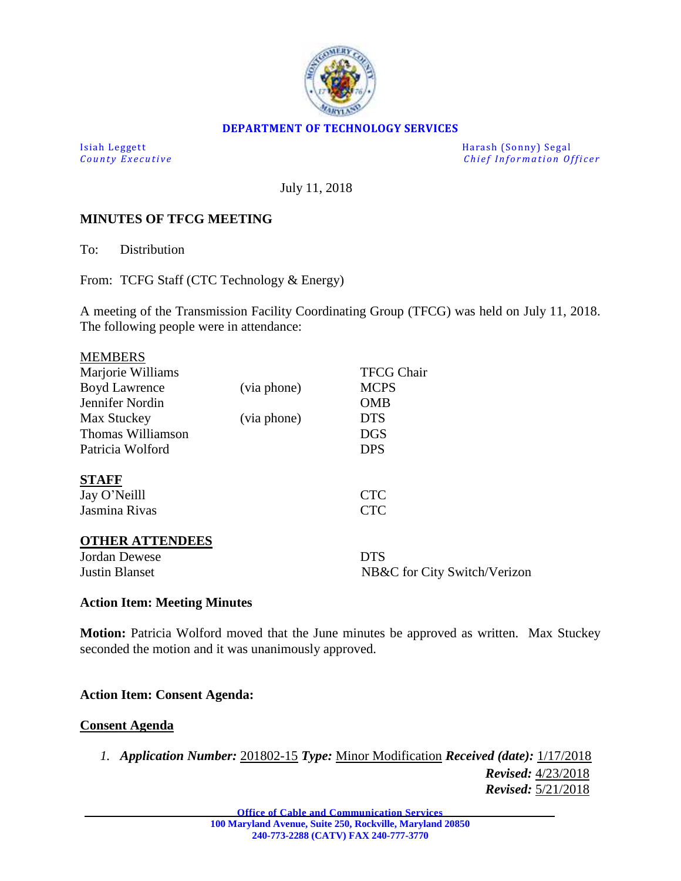

### **DEPARTMENT OF TECHNOLOGY SERVICES**

Isiah Leggett<br>
County Executive County Executive<br>
County Executive Chief Information Of *Chief Information Officer* 

July 11, 2018

### **MINUTES OF TFCG MEETING**

To: Distribution

From: TCFG Staff (CTC Technology & Energy)

A meeting of the Transmission Facility Coordinating Group (TFCG) was held on July 11, 2018. The following people were in attendance:

| <b>MEMBERS</b>         |             |                              |
|------------------------|-------------|------------------------------|
| Marjorie Williams      |             | <b>TFCG Chair</b>            |
| <b>Boyd Lawrence</b>   | (via phone) | <b>MCPS</b>                  |
| Jennifer Nordin        |             | <b>OMB</b>                   |
| Max Stuckey            | (via phone) | <b>DTS</b>                   |
| Thomas Williamson      |             | <b>DGS</b>                   |
| Patricia Wolford       |             | <b>DPS</b>                   |
| <b>STAFF</b>           |             |                              |
| Jay O'Neilll           |             | <b>CTC</b>                   |
| Jasmina Rivas          |             | <b>CTC</b>                   |
| <b>OTHER ATTENDEES</b> |             |                              |
| Jordan Dewese          |             | <b>DTS</b>                   |
| <b>Justin Blanset</b>  |             | NB&C for City Switch/Verizon |
|                        |             |                              |

### **Action Item: Meeting Minutes**

**Motion:** Patricia Wolford moved that the June minutes be approved as written. Max Stuckey seconded the motion and it was unanimously approved.

### **Action Item: Consent Agenda:**

#### **Consent Agenda**

*1. Application Number:* 201802-15 *Type:* Minor Modification *Received (date):* 1/17/2018 *Revised:* 4/23/2018 *Revised:* 5/21/2018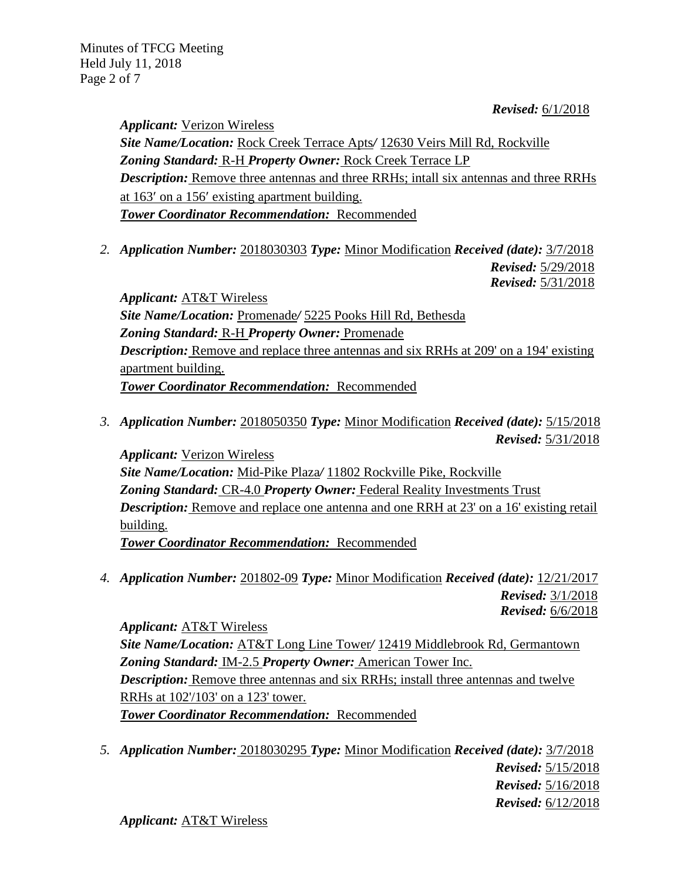*Revised:* 6/1/2018

*Applicant:* Verizon Wireless *Site Name/Location:* Rock Creek Terrace Apts*/* 12630 Veirs Mill Rd, Rockville *Zoning Standard:* R-H *Property Owner:* Rock Creek Terrace LP *Description:* Remove three antennas and three RRHs; intall six antennas and three RRHs at 163' on a 156' existing apartment building. *Tower Coordinator Recommendation:* Recommended

*2. Application Number:* 2018030303 *Type:* Minor Modification *Received (date):* 3/7/2018 *Revised:* 5/29/2018 *Revised:* 5/31/2018

*Applicant:* AT&T Wireless *Site Name/Location:* Promenade*/* 5225 Pooks Hill Rd, Bethesda *Zoning Standard:* R-H *Property Owner:* Promenade *Description:* Remove and replace three antennas and six RRHs at 209' on a 194' existing apartment building. *Tower Coordinator Recommendation:* Recommended

*3. Application Number:* 2018050350 *Type:* Minor Modification *Received (date):* 5/15/2018 *Revised:* 5/31/2018

*Applicant:* Verizon Wireless *Site Name/Location:* Mid-Pike Plaza*/* 11802 Rockville Pike, Rockville *Zoning Standard:* CR-4.0 *Property Owner:* Federal Reality Investments Trust *Description:* Remove and replace one antenna and one RRH at 23' on a 16' existing retail building. *Tower Coordinator Recommendation:* Recommended

*4. Application Number:* 201802-09 *Type:* Minor Modification *Received (date):* 12/21/2017  *Revised:* 3/1/2018  *Revised:* 6/6/2018

*Applicant:* AT&T Wireless *Site Name/Location:* AT&T Long Line Tower*/* 12419 Middlebrook Rd, Germantown *Zoning Standard:* IM-2.5 *Property Owner:* American Tower Inc. *Description:* Remove three antennas and six RRHs; install three antennas and twelve RRHs at 102'/103' on a 123' tower. *Tower Coordinator Recommendation:* Recommended

*5. Application Number:* 2018030295 *Type:* Minor Modification *Received (date):* 3/7/2018 *Revised:* 5/15/2018 *Revised:* 5/16/2018 *Revised:* 6/12/2018

*Applicant:* AT&T Wireless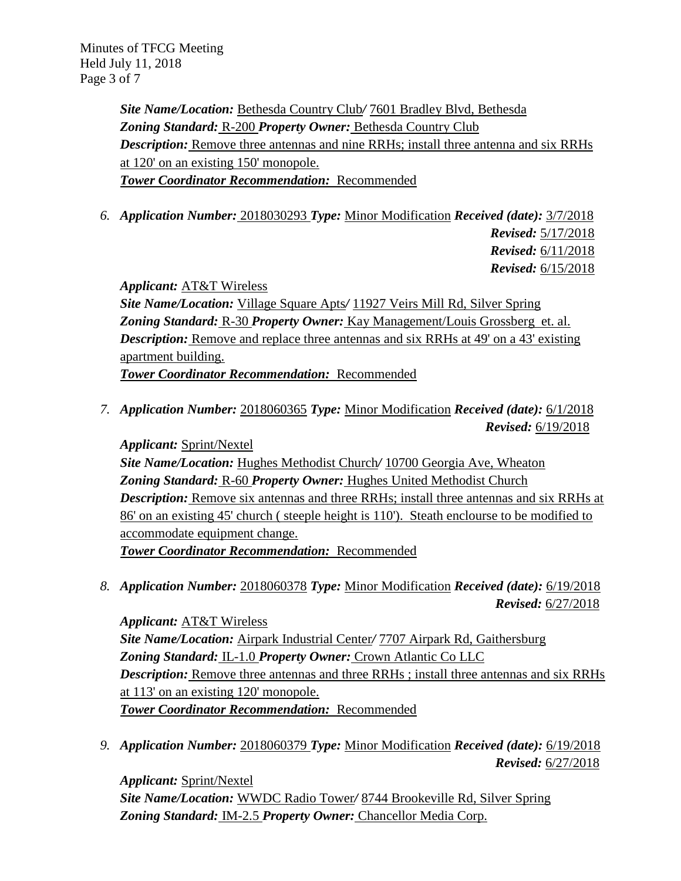Minutes of TFCG Meeting Held July 11, 2018 Page 3 of 7

> *Site Name/Location:* Bethesda Country Club*/* 7601 Bradley Blvd, Bethesda *Zoning Standard:* R-200 *Property Owner:* Bethesda Country Club *Description:* Remove three antennas and nine RRHs; install three antenna and six RRHs at 120' on an existing 150' monopole. *Tower Coordinator Recommendation:* Recommended

*6. Application Number:* 2018030293 *Type:* Minor Modification *Received (date):* 3/7/2018

*Revised:* 5/17/2018 *Revised:* 6/11/2018 *Revised:* 6/15/2018

*Applicant:* AT&T Wireless

*Site Name/Location:* Village Square Apts*/* 11927 Veirs Mill Rd, Silver Spring *Zoning Standard:* R-30 *Property Owner:* Kay Management/Louis Grossberg et. al. *Description:* Remove and replace three antennas and six RRHs at 49' on a 43' existing apartment building.

*Tower Coordinator Recommendation:* Recommended

*7. Application Number:* 2018060365 *Type:* Minor Modification *Received (date):* 6/1/2018 *Revised:* 6/19/2018

*Applicant:* Sprint/Nextel *Site Name/Location:* Hughes Methodist Church*/* 10700 Georgia Ave, Wheaton *Zoning Standard:* R-60 *Property Owner:* Hughes United Methodist Church *Description:* Remove six antennas and three RRHs; install three antennas and six RRHs at 86' on an existing 45' church ( steeple height is 110'). Steath enclourse to be modified to accommodate equipment change. *Tower Coordinator Recommendation:* Recommended

*8. Application Number:* 2018060378 *Type:* Minor Modification *Received (date):* 6/19/2018 *Revised:* 6/27/2018

*Applicant:* AT&T Wireless *Site Name/Location:* Airpark Industrial Center*/* 7707 Airpark Rd, Gaithersburg *Zoning Standard:* IL-1.0 *Property Owner:* Crown Atlantic Co LLC *Description:* Remove three antennas and three RRHs ; install three antennas and six RRHs at 113' on an existing 120' monopole. *Tower Coordinator Recommendation:* Recommended

*9. Application Number:* 2018060379 *Type:* Minor Modification *Received (date):* 6/19/2018 *Revised:* 6/27/2018

*Applicant:* Sprint/Nextel *Site Name/Location:* WWDC Radio Tower*/* 8744 Brookeville Rd, Silver Spring *Zoning Standard:* IM-2.5 *Property Owner:* Chancellor Media Corp.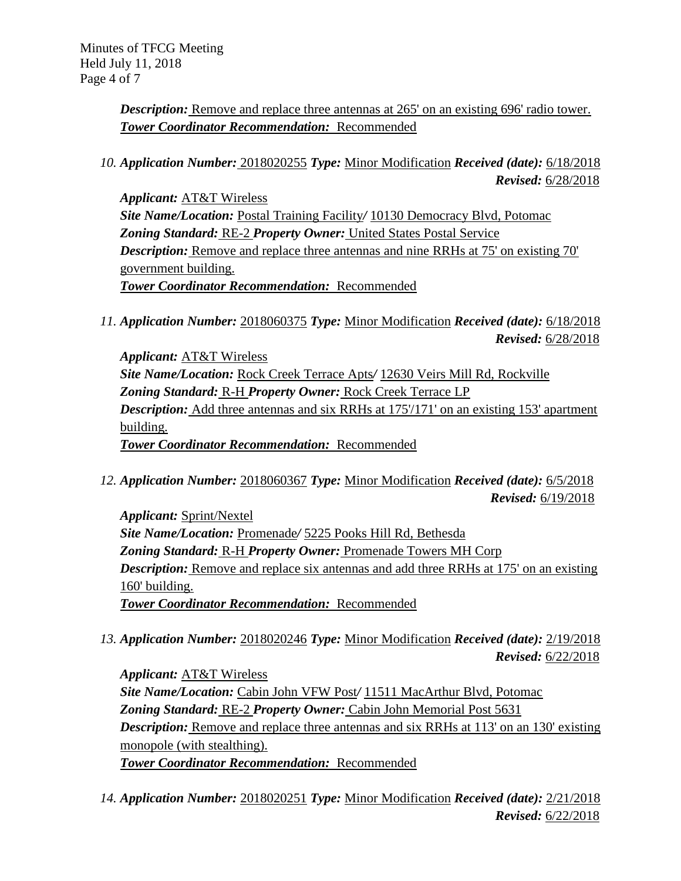**Description:** Remove and replace three antennas at 265' on an existing 696' radio tower. *Tower Coordinator Recommendation:* Recommended

*10. Application Number:* 2018020255 *Type:* Minor Modification *Received (date):* 6/18/2018 *Revised:* 6/28/2018

*Applicant:* AT&T Wireless *Site Name/Location:* Postal Training Facility*/* 10130 Democracy Blvd, Potomac *Zoning Standard:* RE-2 *Property Owner:* United States Postal Service *Description:* Remove and replace three antennas and nine RRHs at 75' on existing 70' government building. *Tower Coordinator Recommendation:* Recommended

*11. Application Number:* 2018060375 *Type:* Minor Modification *Received (date):* 6/18/2018 *Revised:* 6/28/2018

*Applicant:* AT&T Wireless *Site Name/Location:* Rock Creek Terrace Apts*/* 12630 Veirs Mill Rd, Rockville *Zoning Standard:* R-H *Property Owner:* Rock Creek Terrace LP **Description:** Add three antennas and six RRHs at 175'/171' on an existing 153' apartment building. *Tower Coordinator Recommendation:* Recommended

*12. Application Number:* 2018060367 *Type:* Minor Modification *Received (date):* 6/5/2018 *Revised:* 6/19/2018

*Applicant:* Sprint/Nextel *Site Name/Location:* Promenade*/* 5225 Pooks Hill Rd, Bethesda *Zoning Standard:* R-H *Property Owner:* Promenade Towers MH Corp *Description:* Remove and replace six antennas and add three RRHs at 175' on an existing 160' building. *Tower Coordinator Recommendation:* Recommended

*13. Application Number:* 2018020246 *Type:* Minor Modification *Received (date):* 2/19/2018 *Revised:* 6/22/2018

*Applicant:* AT&T Wireless *Site Name/Location:* Cabin John VFW Post*/* 11511 MacArthur Blvd, Potomac *Zoning Standard:* RE-2 *Property Owner:* Cabin John Memorial Post 5631 *Description:* Remove and replace three antennas and six RRHs at 113' on an 130' existing monopole (with stealthing). *Tower Coordinator Recommendation:* Recommended

*14. Application Number:* 2018020251 *Type:* Minor Modification *Received (date):* 2/21/2018 *Revised:* 6/22/2018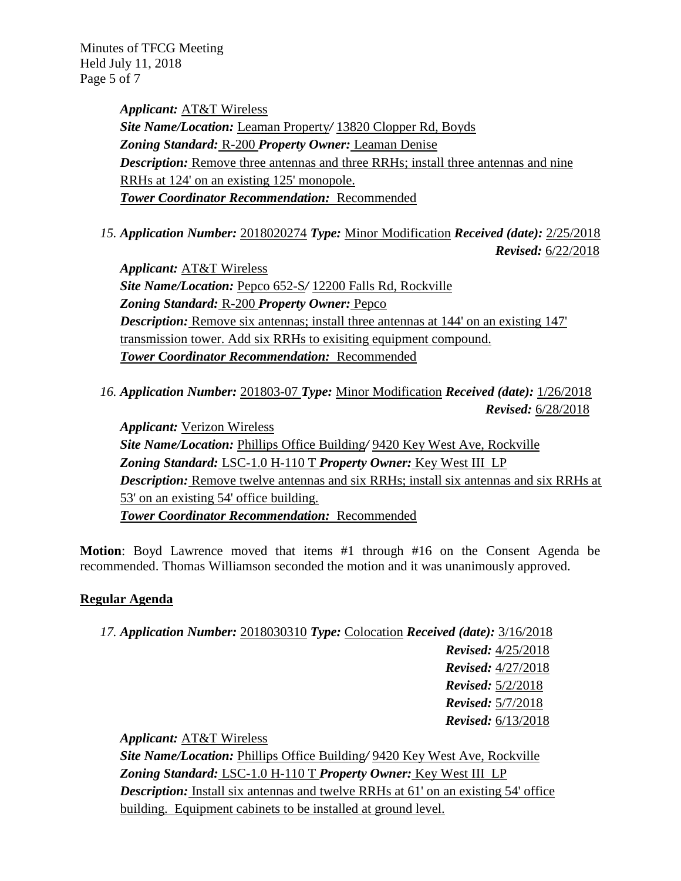Minutes of TFCG Meeting Held July 11, 2018 Page 5 of 7

> *Applicant:* AT&T Wireless *Site Name/Location:* Leaman Property*/* 13820 Clopper Rd, Boyds *Zoning Standard:* R-200 *Property Owner:* Leaman Denise *Description:* Remove three antennas and three RRHs; install three antennas and nine RRHs at 124' on an existing 125' monopole. *Tower Coordinator Recommendation:* Recommended

*15. Application Number:* 2018020274 *Type:* Minor Modification *Received (date):* 2/25/2018 *Revised:* 6/22/2018

*Applicant:* AT&T Wireless *Site Name/Location:* Pepco 652-S*/* 12200 Falls Rd, Rockville *Zoning Standard:* R-200 *Property Owner:* Pepco *Description:* Remove six antennas; install three antennas at 144' on an existing 147' transmission tower. Add six RRHs to exisiting equipment compound. *Tower Coordinator Recommendation:* Recommended

*16. Application Number:* 201803-07 *Type:* Minor Modification *Received (date):* 1/26/2018 *Revised:* 6/28/2018

*Applicant:* Verizon Wireless *Site Name/Location:* Phillips Office Building*/* 9420 Key West Ave, Rockville *Zoning Standard:* LSC-1.0 H-110 T *Property Owner:* Key West III LP *Description:* Remove twelve antennas and six RRHs; install six antennas and six RRHs at 53' on an existing 54' office building. *Tower Coordinator Recommendation:* Recommended

**Motion**: Boyd Lawrence moved that items #1 through #16 on the Consent Agenda be recommended. Thomas Williamson seconded the motion and it was unanimously approved.

## **Regular Agenda**

*17. Application Number:* 2018030310 *Type:* Colocation *Received (date):* 3/16/2018 *Revised:* 4/25/2018 *Revised:* 4/27/2018 *Revised:* 5/2/2018 *Revised:* 5/7/2018 *Revised:* 6/13/2018

*Applicant:* AT&T Wireless

*Site Name/Location:* Phillips Office Building*/* 9420 Key West Ave, Rockville *Zoning Standard:* LSC-1.0 H-110 T *Property Owner:* Key West III LP *Description:* Install six antennas and twelve RRHs at 61' on an existing 54' office building. Equipment cabinets to be installed at ground level.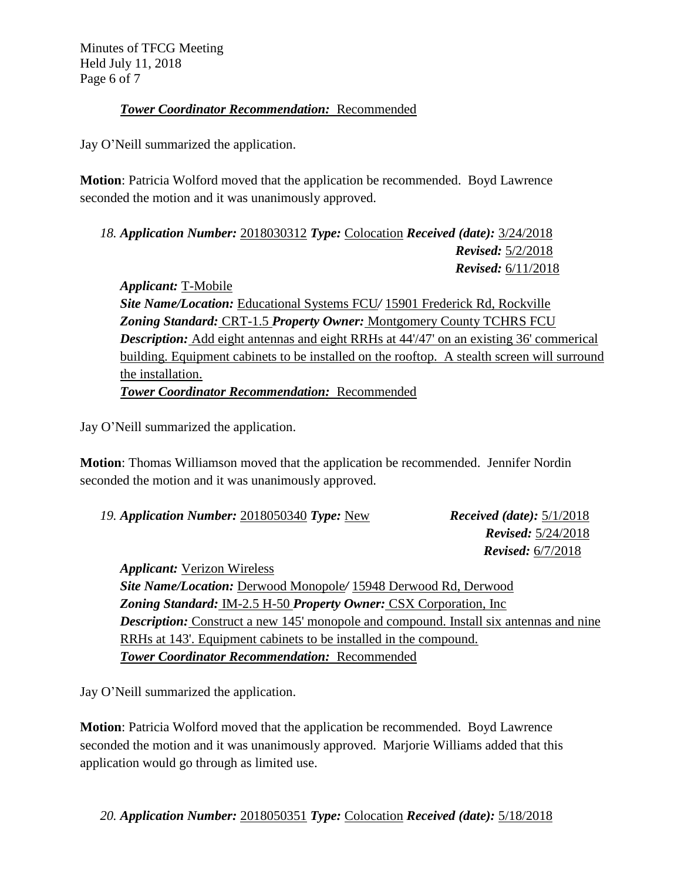Minutes of TFCG Meeting Held July 11, 2018 Page 6 of 7

# *Tower Coordinator Recommendation:* Recommended

Jay O'Neill summarized the application.

**Motion**: Patricia Wolford moved that the application be recommended. Boyd Lawrence seconded the motion and it was unanimously approved.

*18. Application Number:* 2018030312 *Type:* Colocation *Received (date):* 3/24/2018 *Revised:* 5/2/2018 *Revised:* 6/11/2018

*Applicant:* T-Mobile *Site Name/Location:* Educational Systems FCU*/* 15901 Frederick Rd, Rockville *Zoning Standard:* CRT-1.5 *Property Owner:* Montgomery County TCHRS FCU **Description:** Add eight antennas and eight RRHs at 44'/47' on an existing 36' commerical building. Equipment cabinets to be installed on the rooftop. A stealth screen will surround the installation. *Tower Coordinator Recommendation:* Recommended

Jay O'Neill summarized the application.

**Motion**: Thomas Williamson moved that the application be recommended. Jennifer Nordin seconded the motion and it was unanimously approved.

| 19. Application Number: 2018050340 Type: New | <i>Received (date):</i> $5/1/2018$ |
|----------------------------------------------|------------------------------------|
|                                              | <b>Revised:</b> $5/24/2018$        |
|                                              | <b>Revised:</b> $6/7/2018$         |
| <i>Applicant:</i> Verizon Wireless           |                                    |

*Site Name/Location:* Derwood Monopole*/* 15948 Derwood Rd, Derwood *Zoning Standard:* IM-2.5 H-50 *Property Owner:* CSX Corporation, Inc *Description:* Construct a new 145' monopole and compound. Install six antennas and nine RRHs at 143'. Equipment cabinets to be installed in the compound. *Tower Coordinator Recommendation:* Recommended

Jay O'Neill summarized the application.

**Motion**: Patricia Wolford moved that the application be recommended. Boyd Lawrence seconded the motion and it was unanimously approved. Marjorie Williams added that this application would go through as limited use.

*20. Application Number:* 2018050351 *Type:* Colocation *Received (date):* 5/18/2018